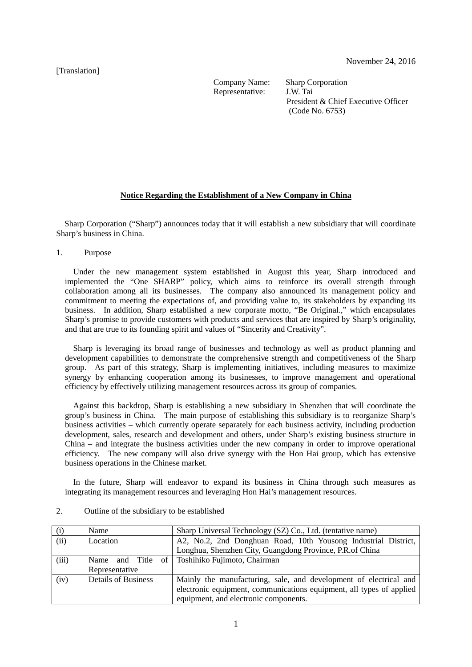## [Translation]

Representative:

Company Name: Sharp Corporation<br>Representative: J.W. Tai President & Chief Executive Officer (Code No. 6753)

## **Notice Regarding the Establishment of a New Company in China**

Sharp Corporation ("Sharp") announces today that it will establish a new subsidiary that will coordinate Sharp's business in China.

1. Purpose

Under the new management system established in August this year, Sharp introduced and implemented the "One SHARP" policy, which aims to reinforce its overall strength through collaboration among all its businesses. The company also announced its management policy and commitment to meeting the expectations of, and providing value to, its stakeholders by expanding its business. In addition, Sharp established a new corporate motto, "Be Original.," which encapsulates Sharp's promise to provide customers with products and services that are inspired by Sharp's originality, and that are true to its founding spirit and values of "Sincerity and Creativity".

Sharp is leveraging its broad range of businesses and technology as well as product planning and development capabilities to demonstrate the comprehensive strength and competitiveness of the Sharp group. As part of this strategy, Sharp is implementing initiatives, including measures to maximize synergy by enhancing cooperation among its businesses, to improve management and operational efficiency by effectively utilizing management resources across its group of companies.

Against this backdrop, Sharp is establishing a new subsidiary in Shenzhen that will coordinate the group's business in China. The main purpose of establishing this subsidiary is to reorganize Sharp's business activities – which currently operate separately for each business activity, including production development, sales, research and development and others, under Sharp's existing business structure in China – and integrate the business activities under the new company in order to improve operational efficiency. The new company will also drive synergy with the Hon Hai group, which has extensive business operations in the Chinese market.

In the future, Sharp will endeavor to expand its business in China through such measures as integrating its management resources and leveraging Hon Hai's management resources.

| (i)   | Name                       | Sharp Universal Technology (SZ) Co., Ltd. (tentative name)           |
|-------|----------------------------|----------------------------------------------------------------------|
| (ii)  | Location                   | A2, No.2, 2nd Donghuan Road, 10th Yousong Industrial District,       |
|       |                            | Longhua, Shenzhen City, Guangdong Province, P.R. of China            |
| (iii) | Name and Title of          | Toshihiko Fujimoto, Chairman                                         |
|       | Representative             |                                                                      |
| (iv)  | <b>Details of Business</b> | Mainly the manufacturing, sale, and development of electrical and    |
|       |                            | electronic equipment, communications equipment, all types of applied |
|       |                            | equipment, and electronic components.                                |

2. Outline of the subsidiary to be established